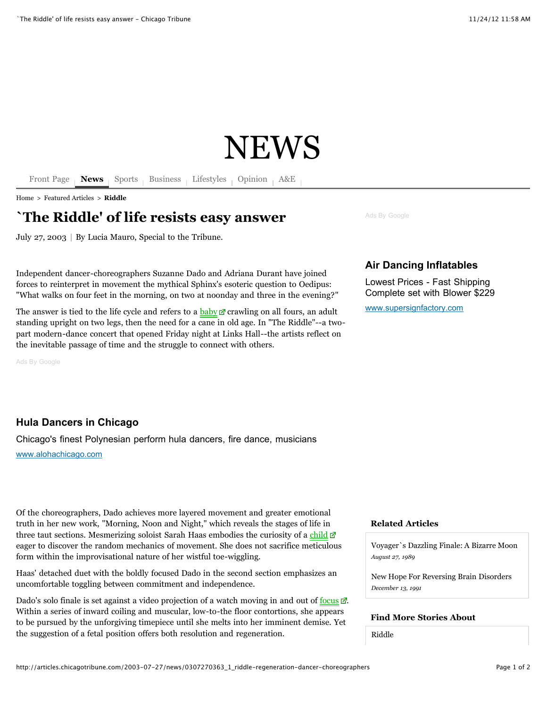# NEWS

[Front Page](http://www.chicagotribune.com/) **[News](http://www.chicagotribune.com/news)** [Sports](http://www.chicagotribune.com/sports) [Business](http://www.chicagotribune.com/business) [Lifestyles](http://www.chicagotribune.com/features) [Opinion](http://www.chicagotribune.com/news/opinion) [A&E](http://www.chicagotribune.com/entertainment)

[Home](http://www.chicagotribune.com/) > [Featured Articles](http://articles.chicagotribune.com/) > **[Riddle](http://articles.chicagotribune.com/keyword/riddle)**

# **`The Riddle' of life resists easy answer**

July 27, 2003 | By Lucia Mauro, Special to the Tribune.

Independent dancer-choreographers Suzanne Dado and Adriana Durant have joined forces to reinterpret in movement the mythical Sphinx's esoteric question to Oedipus: "What walks on four feet in the morning, on two at noonday and three in the evening?"

The answer is tied to the life cycle and refers to a  $\text{baby} \mathbb{Z}$  $\text{baby} \mathbb{Z}$  $\text{baby} \mathbb{Z}$  crawling on all fours, an adult standing upright on two legs, then the need for a cane in old age. In "The Riddle"--a twopart modern-dance concert that opened Friday night at Links Hall--the artists reflect on the inevitable passage of time and the struggle to connect with others.

[Ads By Google](http://www.google.com/url?ct=abg&q=https://www.google.com/adsense/support/bin/request.py%3Fcontact%3Dabg_afc%26url%3Dhttp://articles.chicagotribune.com/2003-07-27/news/0307270363_1_riddle-regeneration-dancer-choreographers%26gl%3DUS%26hl%3Den%26client%3Dca-pub-8065581269528142%26ai0%3DCSvig8AixUMvvH4WpwAGsxYG4Dcn84scB-YXi8QvAjbcBEAEg84eRFFCM6PHpAmDJtrqJkKTQEcgBAagDAaoEsgFP0L2qsWR9X-B2zJGpj7X8DtiePouKBwArCHT1ISltTj-5Rq9T4iC7amq_FkUvua_Dok4JIgZl8dCSwDTLZ6CAL-RTyFKZChBNaJLlZim9dmH27dPWwGhyMkq3dXEn2KH8dkMlKlrFCF8_hhU60KCyT_xJMn83LQQ-RiJpd7o2KZgVvWo0erYw_hNS799cCE7173HzNiccsJ9l6OI5xhmTb1pvCH5ls_JM-KA-oY3sY1Us&usg=AFQjCNH3jVqRjQ_m12jZMH-Xpz-xjKUyng)

[Ads By Google](http://www.google.com/url?ct=abg&q=https://www.google.com/adsense/support/bin/request.py%3Fcontact%3Dabg_afc%26url%3Dhttp://articles.chicagotribune.com/2003-07-27/news/0307270363_1_riddle-regeneration-dancer-choreographers%26gl%3DUS%26hl%3Den%26client%3Dca-pub-8065581269528142%26ai0%3DC6oCA8AixUK6POqKDwQGF8IC4Ctixxb0CsJPYyEDAjbcBEAEg84eRFFCD_N8JYMm2uomQpNARyAEBqAMBqgS1AU_QdCuxat91Ni2vqwFdId6hG9FzAV-kI-aKILL8S7vbcL1wvG8udTJ1G-SiMYLkPVA4W9LNsyavvb2WMpJVf7j8XioNoxRVLMn5vrC6lelOCzyRbt_4o9XvHY2gSZaBmwbnSuXq2iSKTHw3vtBDajNE4fnBwUO-ZkonfJkCzBWJJfQnOfDygpZi6edFKc43jiHSAcNIzDGy4WPQ0LzdDaUt4y-NfhHuYLUondi1AJS7UslEFZY&usg=AFQjCNEWuonMeDWbeDC60yMfLHjPLr3tUA)

## **[Air Dancing Inflatables](http://googleads.g.doubleclick.net/aclk?sa=L&ai=C6oCA8AixUK6POqKDwQGF8IC4Ctixxb0CsJPYyEDAjbcBEAEg84eRFFCD_N8JYMm2uomQpNARyAEBqAMBqgS1AU_QdCuxat91Ni2vqwFdId6hG9FzAV-kI-aKILL8S7vbcL1wvG8udTJ1G-SiMYLkPVA4W9LNsyavvb2WMpJVf7j8XioNoxRVLMn5vrC6lelOCzyRbt_4o9XvHY2gSZaBmwbnSuXq2iSKTHw3vtBDajNE4fnBwUO-ZkonfJkCzBWJJfQnOfDygpZi6edFKc43jiHSAcNIzDGy4WPQ0LzdDaUt4y-NfhHuYLUondi1AJS7UslEFZY&num=1&sig=AOD64_09q8oBGDTVqdbixD9h2jzn8hB8Gw&client=ca-pub-8065581269528142&adurl=http://supersignfactory.com/)**

Lowest Prices - Fast Shipping Complete set with Blower \$229

[www.supersignfactory.com](http://googleads.g.doubleclick.net/aclk?sa=L&ai=C6oCA8AixUK6POqKDwQGF8IC4Ctixxb0CsJPYyEDAjbcBEAEg84eRFFCD_N8JYMm2uomQpNARyAEBqAMBqgS1AU_QdCuxat91Ni2vqwFdId6hG9FzAV-kI-aKILL8S7vbcL1wvG8udTJ1G-SiMYLkPVA4W9LNsyavvb2WMpJVf7j8XioNoxRVLMn5vrC6lelOCzyRbt_4o9XvHY2gSZaBmwbnSuXq2iSKTHw3vtBDajNE4fnBwUO-ZkonfJkCzBWJJfQnOfDygpZi6edFKc43jiHSAcNIzDGy4WPQ0LzdDaUt4y-NfhHuYLUondi1AJS7UslEFZY&num=1&sig=AOD64_09q8oBGDTVqdbixD9h2jzn8hB8Gw&client=ca-pub-8065581269528142&adurl=http://supersignfactory.com/)

# **[Hula Dancers in Chicago](http://googleads.g.doubleclick.net/aclk?sa=L&ai=CSvig8AixUMvvH4WpwAGsxYG4Dcn84scB-YXi8QvAjbcBEAEg84eRFFCM6PHpAmDJtrqJkKTQEcgBAagDAaoEsgFP0L2qsWR9X-B2zJGpj7X8DtiePouKBwArCHT1ISltTj-5Rq9T4iC7amq_FkUvua_Dok4JIgZl8dCSwDTLZ6CAL-RTyFKZChBNaJLlZim9dmH27dPWwGhyMkq3dXEn2KH8dkMlKlrFCF8_hhU60KCyT_xJMn83LQQ-RiJpd7o2KZgVvWo0erYw_hNS799cCE7173HzNiccsJ9l6OI5xhmTb1pvCH5ls_JM-KA-oY3sY1Us&num=1&sig=AOD64_3BGMzYil_fEU478WhvR-ETSQlAxQ&client=ca-pub-8065581269528142&adurl=http://www.alohachicago.com)**

Chicago's finest Polynesian perform hula dancers, fire dance, musicians

[www.alohachicago.com](http://googleads.g.doubleclick.net/aclk?sa=L&ai=CSvig8AixUMvvH4WpwAGsxYG4Dcn84scB-YXi8QvAjbcBEAEg84eRFFCM6PHpAmDJtrqJkKTQEcgBAagDAaoEsgFP0L2qsWR9X-B2zJGpj7X8DtiePouKBwArCHT1ISltTj-5Rq9T4iC7amq_FkUvua_Dok4JIgZl8dCSwDTLZ6CAL-RTyFKZChBNaJLlZim9dmH27dPWwGhyMkq3dXEn2KH8dkMlKlrFCF8_hhU60KCyT_xJMn83LQQ-RiJpd7o2KZgVvWo0erYw_hNS799cCE7173HzNiccsJ9l6OI5xhmTb1pvCH5ls_JM-KA-oY3sY1Us&num=1&sig=AOD64_3BGMzYil_fEU478WhvR-ETSQlAxQ&client=ca-pub-8065581269528142&adurl=http://www.alohachicago.com)

Of the choreographers, Dado achieves more layered movement and greater emotional truth in her new work, "Morning, Noon and Night," which reveals the stages of life in three taut sections. Mesmerizing soloist Sarah Haas embodies the curiosity of a [child](http://articles.chicagotribune.com/2003-07-27/news/0307270363_1_riddle-regeneration-dancer-choreographers#)  $\mathbb{Z}$ eager to discover the random mechanics of movement. She does not sacrifice meticulous form within the improvisational nature of her wistful toe-wiggling.

Haas' detached duet with the boldly focused Dado in the second section emphasizes an uncomfortable toggling between commitment and independence.

Dado's solo finale is set against a video projection of a watch moving in and out of [focus](http://articles.chicagotribune.com/2003-07-27/news/0307270363_1_riddle-regeneration-dancer-choreographers#)  $\mathbb{Z}$ . Within a series of inward coiling and muscular, low-to-the floor contortions, she appears to be pursued by the unforgiving timepiece until she melts into her imminent demise. Yet the suggestion of a fetal position offers both resolution and regeneration.

#### **Related Articles**

[Voyager`s Dazzling Finale: A Bizarre Moon](http://articles.chicagotribune.com/1989-08-27/news/8901080196_1_voyager-project-scientist-sister-ship-voyager-neptune) *August 27, 1989*

[New Hope For Reversing Brain Disorders](http://articles.chicagotribune.com/1991-12-13/news/9104220212_1_nerve-growth-factor-brain-cells-stroke-and-trauma) *December 13, 1991*

#### **Find More Stories About**

[Riddle](http://articles.chicagotribune.com/keyword/riddle)

Regeneration